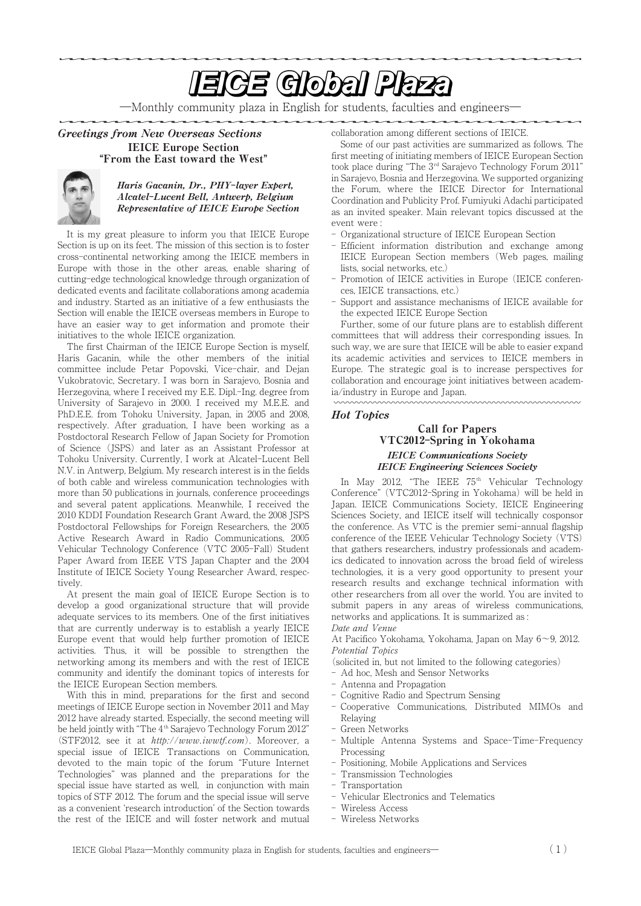# **EIGE Global Plaza**

―Monthly community plaza in English for students, faculties and engineers―

### Greetings from New Overseas Sections IEICE Europe Section **"**From the East toward the West**"**



#### Haris Gacanin, Dr., PHY**-**layer Expert, Alcatel**-**Lucent Bell, Antwerp, Belgium Representative of IEICE Europe Section

It is my great pleasure to inform you that IEICE Europe Section is up on its feet. The mission of this section is to foster cross-continental networking among the IEICE members in Europe with those in the other areas, enable sharing of cutting-edge technological knowledge through organization of dedicated events and facilitate collaborations among academia and industry. Started as an initiative of a few enthusiasts the Section will enable the IEICE overseas members in Europe to have an easier way to get information and promote their initiatives to the whole IEICE organization.

The first Chairman of the IEICE Europe Section is myself, Haris Gacanin, while the other members of the initial committee include Petar Popovski, Vice-chair, and Dejan Vukobratovic, Secretary. I was born in Sarajevo, Bosnia and Herzegovina, where I received my E.E. Dipl.-Ing. degree from University of Sarajevo in 2000. I received my M.E.E. and PhD.E.E. from Tohoku University, Japan, in 2005 and 2008, respectively. After graduation, I have been working as a Postdoctoral Research Fellow of Japan Society for Promotion of Science (JSPS) and later as an Assistant Professor at Tohoku University. Currently, I work at Alcatel-Lucent Bell N.V. in Antwerp, Belgium. My research interest is in the fields of both cable and wireless communication technologies with more than 50 publications in journals, conference proceedings and several patent applications. Meanwhile, I received the 2010 KDDI Foundation Research Grant Award, the 2008 JSPS Postdoctoral Fellowships for Foreign Researchers, the 2005 Active Research Award in Radio Communications, 2005 Vehicular Technology Conference (VTC 2005-Fall) Student Paper Award from IEEE VTS Japan Chapter and the 2004 Institute of IEICE Society Young Researcher Award, respectively.

At present the main goal of IEICE Europe Section is to develop a good organizational structure that will provide adequate services to its members. One of the first initiatives that are currently underway is to establish a yearly IEICE Europe event that would help further promotion of IEICE activities. Thus, it will be possible to strengthen the networking among its members and with the rest of IEICE community and identify the dominant topics of interests for the IEICE European Section members.

With this in mind, preparations for the first and second meetings of IEICE Europe section in November 2011 and May 2012 have already started. Especially, the second meeting will be held jointly with "The 4<sup>th</sup> Sarajevo Technology Forum 2012" (STF2012, see it at http://www.iwwtf.com). Moreover, a special issue of IEICE Transactions on Communication, devoted to the main topic of the forum "Future Internet Technologies" was planned and the preparations for the special issue have started as well, in conjunction with main topics of STF 2012. The forum and the special issue will serve as a convenient ʻresearch introduction' of the Section towards the rest of the IEICE and will foster network and mutual collaboration among different sections of IEICE.

Some of our past activities are summarized as follows. The first meeting of initiating members of IEICE European Section took place during "The 3rd Sarajevo Technology Forum 2011" in Sarajevo, Bosnia and Herzegovina. We supported organizing the Forum, where the IEICE Director for International Coordination and Publicity Prof. Fumiyuki Adachi participated as an invited speaker. Main relevant topics discussed at the event were :

- Organizational structure of IEICE European Section
- Efficient information distribution and exchange among IEICE European Section members (Web pages, mailing lists, social networks, etc.)
- Promotion of IEICE activities in Europe (IEICE conferences, IEICE transactions, etc.)
- Support and assistance mechanisms of IEICE available for the expected IEICE Europe Section

Further, some of our future plans are to establish different committees that will address their corresponding issues. In such way, we are sure that IEICE will be able to easier expand its academic activities and services to IEICE members in Europe. The strategic goal is to increase perspectives for collaboration and encourage joint initiatives between academia/industry in Europe and Japan.

#### Hot Topics

mmmmm

#### Call for Papers VTC2012**-**Spring in Yokohama IEICE Communications Society IEICE Engineering Sciences Society

In May 2012, "The IEEE  $75<sup>th</sup>$  Vehicular Technology Conference" (VTC2012-Spring in Yokohama) will be held in Japan. IEICE Communications Society, IEICE Engineering Sciences Society, and IEICE itself will technically cosponsor the conference. As VTC is the premier semi-annual flagship conference of the IEEE Vehicular Technology Society (VTS) that gathers researchers, industry professionals and academics dedicated to innovation across the broad field of wireless technologies, it is a very good opportunity to present your research results and exchange technical information with other researchers from all over the world. You are invited to submit papers in any areas of wireless communications, networks and applications. It is summarized as : Date and Venue

At Pacifico Yokohama, Yokohama, Japan on May 6〜9, 2012. Potential Topics

- (solicited in, but not limited to the following categories)
- Ad hoc, Mesh and Sensor Networks
- Antenna and Propagation
- Cognitive Radio and Spectrum Sensing
- Cooperative Communications, Distributed MIMOs and Relaying
- Green Networks
- Multiple Antenna Systems and Space-Time-Frequency Processing
- Positioning, Mobile Applications and Services
- Transmission Technologies
- **Transportation**
- Vehicular Electronics and Telematics
- Wireless Access
- Wireless Networks